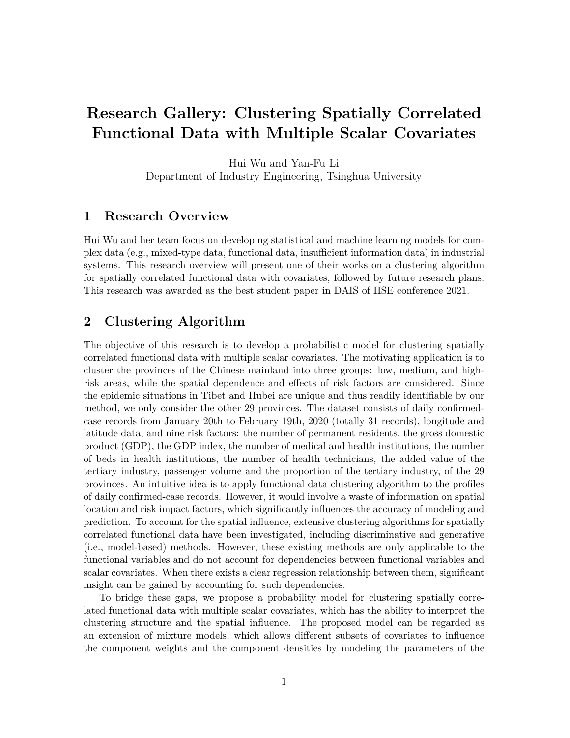## **Research Gallery: Clustering Spatially Correlated Functional Data with Multiple Scalar Covariates**

Hui Wu and Yan-Fu Li Department of Industry Engineering, Tsinghua University

## **1 Research Overview**

Hui Wu and her team focus on developing statistical and machine learning models for complex data (e.g., mixed-type data, functional data, insufficient information data) in industrial systems. This research overview will present one of their works on a clustering algorithm for spatially correlated functional data with covariates, followed by future research plans. This research was awarded as the best student paper in DAIS of IISE conference 2021.

## **2 Clustering Algorithm**

The objective of this research is to develop a probabilistic model for clustering spatially correlated functional data with multiple scalar covariates. The motivating application is to cluster the provinces of the Chinese mainland into three groups: low, medium, and highrisk areas, while the spatial dependence and effects of risk factors are considered. Since the epidemic situations in Tibet and Hubei are unique and thus readily identifiable by our method, we only consider the other 29 provinces. The dataset consists of daily confirmedcase records from January 20th to February 19th, 2020 (totally 31 records), longitude and latitude data, and nine risk factors: the number of permanent residents, the gross domestic product (GDP), the GDP index, the number of medical and health institutions, the number of beds in health institutions, the number of health technicians, the added value of the tertiary industry, passenger volume and the proportion of the tertiary industry, of the 29 provinces. An intuitive idea is to apply functional data clustering algorithm to the profiles of daily confirmed-case records. However, it would involve a waste of information on spatial location and risk impact factors, which significantly influences the accuracy of modeling and prediction. To account for the spatial influence, extensive clustering algorithms for spatially correlated functional data have been investigated, including discriminative and generative (i.e., model-based) methods. However, these existing methods are only applicable to the functional variables and do not account for dependencies between functional variables and scalar covariates. When there exists a clear regression relationship between them, significant insight can be gained by accounting for such dependencies.

To bridge these gaps, we propose a probability model for clustering spatially correlated functional data with multiple scalar covariates, which has the ability to interpret the clustering structure and the spatial influence. The proposed model can be regarded as an extension of mixture models, which allows different subsets of covariates to influence the component weights and the component densities by modeling the parameters of the